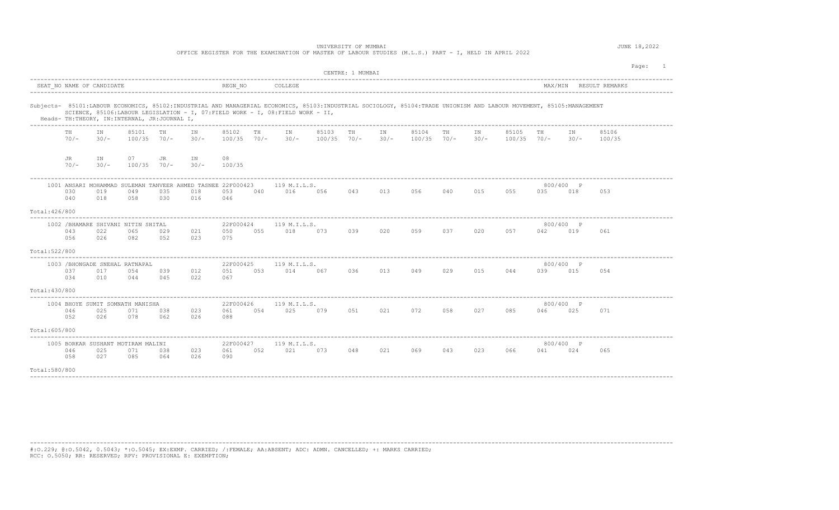OFFICE REGISTER FOR THE EXAMINATION OF MASTER OF LABOUR STUDIES (M.L.S.) PART - I, HELD IN APRIL 2022

|                                                                                                                                                                                                                                                                                                      |                                                |                                 | CENTRE: 1 MUMBAI             |                              |                                                | Page:<br>$\mathbf{1}$           |
|------------------------------------------------------------------------------------------------------------------------------------------------------------------------------------------------------------------------------------------------------------------------------------------------------|------------------------------------------------|---------------------------------|------------------------------|------------------------------|------------------------------------------------|---------------------------------|
| SEAT NO NAME OF CANDIDATE                                                                                                                                                                                                                                                                            | REGN NO                                        | COLLEGE                         |                              |                              |                                                | MAX/MIN RESULT REMARKS          |
| Subjects- 85101:LABOUR ECONOMICS, 85102:INDUSTRIAL AND MANAGERIAL ECONOMICS, 85103:INDUSTRIAL SOCIOLOGY, 85104:TRADE UNIONISM AND LABOUR MOVEMENT, 85105:MANAGEMENT<br>SCIENCE, 85106:LABOUR LEGISLATION - I, 07:FIELD WORK - I, 08:FIELD WORK - II,<br>Heads- TH:THEORY, IN:INTERNAL, JR:JOURNAL I, |                                                |                                 |                              |                              |                                                |                                 |
| 85101<br>TH<br>TH<br>ΙN<br>$70/-$<br>$100/35$ $70/-$<br>$30/-$                                                                                                                                                                                                                                       | 85102<br>ΙN<br>TH<br>$100/35$ $70/-$<br>$30/-$ | 85103<br>IN<br>$30/-$<br>100/35 | TH<br>IN<br>$30/-$<br>$70/-$ | 85104<br>TH<br>$100/35$ 70/- | 85105<br>IN<br>TH<br>$30/-$<br>$100/35$ $70/-$ | 85106<br>IN<br>$30/-$<br>100/35 |
| 07<br>JR<br>JR.<br>IN<br>$70/-$<br>$30/-$<br>$100/35$ 70/-                                                                                                                                                                                                                                           | 08<br>IN<br>$30/-$<br>100/35                   |                                 |                              |                              |                                                |                                 |
| 1001 ANSARI MOHAMMAD SULEMAN TANVEER AHMED TASNEE 22F000423<br>030<br>019<br>049<br>035<br>040<br>018<br>058<br>030<br>Total: 426/800                                                                                                                                                                | 018<br>053<br>040<br>016<br>046                | 119 M.I.L.S.<br>016<br>056      | 013<br>043                   | 040<br>056                   | 800/400 P<br>015<br>055<br>035                 | 018<br>053                      |
| 1002 / BHAMARE SHIVANI NITIN SHITAL<br>043<br>022<br>065<br>029<br>026<br>082<br>052<br>056<br>Total:522/800                                                                                                                                                                                         | 22F000424<br>055<br>021<br>050<br>023<br>075   | 119 M.I.L.S.<br>018<br>073      | 020<br>039                   | 059<br>037                   | 800/400 P<br>020<br>057<br>042                 | 019<br>061                      |
| 1003 / BHONGADE SNEHAL RATNAPAL<br>037<br>017<br>054<br>039<br>0.34<br>010<br>044<br>045<br>Total: 430/800                                                                                                                                                                                           | 22F000425<br>012<br>051<br>053<br>022<br>067   | 119 M.I.L.S.<br>014<br>067      | 036<br>013                   | 049<br>029                   | 800/400 P<br>015<br>044<br>039                 | 015<br>054                      |
| 1004 BHOYE SUMIT SOMNATH MANISHA<br>071<br>046<br>025<br>038<br>078<br>052<br>026<br>062<br>Total: 605/800                                                                                                                                                                                           | 22F000426<br>023<br>061<br>054<br>026<br>088   | 119 M.I.L.S.<br>025<br>079      | 051<br>021                   | 072<br>058                   | 800/400 P<br>027<br>085<br>046                 | 025<br>071                      |
| 1005 BORKAR SUSHANT MOTIRAM MALINI<br>071<br>038<br>046<br>025<br>085<br>058<br>027<br>064<br>Total:580/800                                                                                                                                                                                          | 22F000427<br>023<br>061<br>052<br>026<br>090   | 119 M.I.L.S.<br>021<br>073      | 048<br>021                   | 069<br>043                   | 800/400 P<br>023<br>066<br>041                 | 024<br>065                      |

----------------------------------------------------------------------------------------------------------------------------------------------------------------------------------------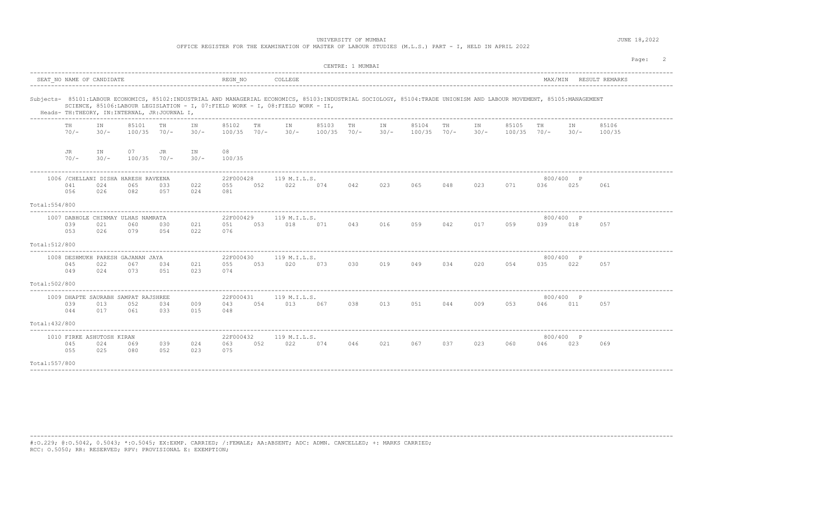OFFICE REGISTER FOR THE EXAMINATION OF MASTER OF LABOUR STUDIES (M.L.S.) PART - I, HELD IN APRIL 2022

|                |              |                                         |                                                                                 |              |              |                         |              |                                                                                                                                                                                                                                                      |                 | CENTRE: 1 MUMBAI |              |                 |              |              |                 |              |                  |                 | Page: |
|----------------|--------------|-----------------------------------------|---------------------------------------------------------------------------------|--------------|--------------|-------------------------|--------------|------------------------------------------------------------------------------------------------------------------------------------------------------------------------------------------------------------------------------------------------------|-----------------|------------------|--------------|-----------------|--------------|--------------|-----------------|--------------|------------------|-----------------|-------|
|                |              | SEAT NO NAME OF CANDIDATE               |                                                                                 |              |              | REGN NO                 |              | COLLEGE                                                                                                                                                                                                                                              |                 |                  |              |                 |              |              |                 | MAX/MIN      |                  | RESULT REMARKS  |       |
|                |              |                                         | Heads- TH:THEORY, IN:INTERNAL, JR:JOURNAL I,<br>_______________________________ |              |              |                         |              | Subjects- 85101:LABOUR ECONOMICS, 85102:INDUSTRIAL AND MANAGERIAL ECONOMICS, 85103:INDUSTRIAL SOCIOLOGY, 85104:TRADE UNIONISM AND LABOUR MOVEMENT, 85105:MANAGEMENT<br>SCIENCE, 85106:LABOUR LEGISLATION - I, 07:FIELD WORK - I, 08:FIELD WORK - II, |                 |                  |              |                 |              |              |                 |              |                  |                 |       |
|                | TH<br>$70/-$ | IN<br>$30/-$                            | 85101<br>100/35                                                                 | TH<br>$70/-$ | ΙN<br>$30/-$ | 85102<br>100/35         | TH<br>$70/-$ | IN<br>$30/-$                                                                                                                                                                                                                                         | 85103<br>100/35 | TH<br>$70/-$     | ΙN<br>$30/-$ | 85104<br>100/35 | TH<br>$70/-$ | ΙN<br>$30/-$ | 85105<br>100/35 | TН<br>$70/-$ | ΙN<br>$30/-$     | 85106<br>100/35 |       |
|                | JR<br>$70/-$ | IN<br>$30/-$                            | 07<br>100/35                                                                    | JR<br>$70/-$ | IN<br>$30/-$ | 08<br>100/35            |              |                                                                                                                                                                                                                                                      |                 |                  |              |                 |              |              |                 |              |                  |                 |       |
|                | 041<br>056   | 024<br>026                              | 1006 / CHELLANI DISHA HARESH RAVEENA<br>065<br>082                              | 033<br>0.57  | 022<br>024   | 22F000428<br>055<br>081 | 052          | 119 M.I.L.S.<br>022                                                                                                                                                                                                                                  | 074             | 042              | 023          | 065             | 048          | 023          | 071             | 036          | 800/400 P<br>025 | 061             |       |
| Total: 554/800 |              |                                         |                                                                                 |              |              |                         |              |                                                                                                                                                                                                                                                      |                 |                  |              |                 |              |              |                 |              |                  |                 |       |
|                | 039<br>053   | 021<br>026                              | 1007 DABHOLE CHINMAY ULHAS NAMRATA<br>060<br>079                                | 030<br>0.54  | 021<br>022   | 22F000429<br>051<br>076 | 053          | 119 M.I.L.S.<br>018                                                                                                                                                                                                                                  | 071             | 043              | 016          | 059             | 042          | 017          | 059             | 039          | 800/400 P<br>018 | 057             |       |
| Total:512/800  |              |                                         |                                                                                 |              |              |                         |              |                                                                                                                                                                                                                                                      |                 |                  |              |                 |              |              |                 |              |                  |                 |       |
|                | 045<br>049   | 022<br>024                              | 1008 DESHMUKH PARESH GAJANAN JAYA<br>067<br>073                                 | 034<br>051   | 021<br>023   | 22F000430<br>055<br>074 | 053          | 119 M.I.L.S.<br>020                                                                                                                                                                                                                                  | 073             | 030              | 019          | 049             | 034          | 020          | 054             | 035          | 800/400 P<br>022 | 057             |       |
| Total:502/800  |              |                                         |                                                                                 |              |              |                         |              |                                                                                                                                                                                                                                                      |                 |                  |              |                 |              |              |                 |              |                  |                 |       |
|                | 039<br>044   | 013<br>017                              | 1009 DHAPTE SAURABH SAMPAT RAJSHREE<br>052<br>061                               | 034<br>033   | 009<br>015   | 22F000431<br>043<br>048 | 054          | 119 M.I.L.S.<br>013                                                                                                                                                                                                                                  | 067             | 038              | 013          | 051             | 044          | 009          | 053             | 046          | 800/400 P<br>011 | 057             |       |
| Total: 432/800 |              |                                         |                                                                                 |              |              |                         |              |                                                                                                                                                                                                                                                      |                 |                  |              |                 |              |              |                 |              |                  |                 |       |
| Total: 557/800 | 045<br>055   | 1010 FIRKE ASHUTOSH KIRAN<br>024<br>025 | 069<br>080                                                                      | 039<br>052   | 024<br>023   | 22F000432<br>063<br>075 | 052          | 119 M.I.L.S.<br>022                                                                                                                                                                                                                                  | 074             | 046              | 021          | 067             | 037          | 023          | 060             | 046          | 800/400 P<br>023 | 069             |       |

----------------------------------------------------------------------------------------------------------------------------------------------------------------------------------------

----------------------------------------------------------------------------------------------------------------------------------------------------------------------------------------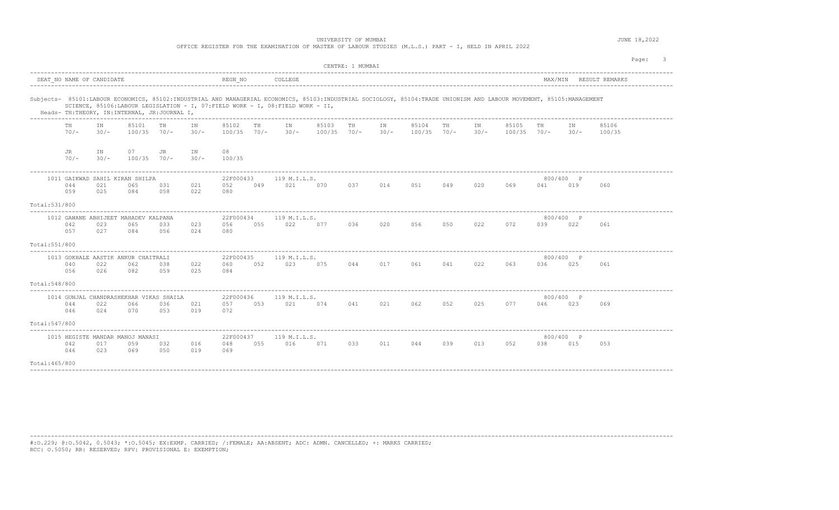UNIVERSITY OF MUMBAI **Alternative Contract Contract Contract Contract Contract Contract Contract Contract Contract Contract Contract Contract Contract Contract Contract Contract Contract Contract Contract Contract Contract** 

OFFICE REGISTER FOR THE EXAMINATION OF MASTER OF LABOUR STUDIES (M.L.S.) PART - I, HELD IN APRIL 2022

|                |              |                           |                                                    |            |                                   |                         |                         |                                                                                                                                                                                                                                                      |                        | CENTRE: 1 MUMBAI |              |                 |               |              |                          |     |                  |                        | Page: |
|----------------|--------------|---------------------------|----------------------------------------------------|------------|-----------------------------------|-------------------------|-------------------------|------------------------------------------------------------------------------------------------------------------------------------------------------------------------------------------------------------------------------------------------------|------------------------|------------------|--------------|-----------------|---------------|--------------|--------------------------|-----|------------------|------------------------|-------|
|                |              | SEAT NO NAME OF CANDIDATE |                                                    |            |                                   | REGN NO                 |                         | COLLEGE                                                                                                                                                                                                                                              |                        |                  |              |                 |               |              |                          |     |                  | MAX/MIN RESULT REMARKS |       |
|                |              |                           | Heads- TH:THEORY, IN:INTERNAL, JR:JOURNAL I,       |            |                                   |                         |                         | Subjects- 85101:LABOUR ECONOMICS, 85102:INDUSTRIAL AND MANAGERIAL ECONOMICS, 85103:INDUSTRIAL SOCIOLOGY, 85104:TRADE UNIONISM AND LABOUR MOVEMENT, 85105:MANAGEMENT<br>SCIENCE, 85106:LABOUR LEGISLATION - I, 07:FIELD WORK - I, 08:FIELD WORK - II, |                        |                  |              |                 |               |              |                          |     |                  |                        |       |
|                | TH<br>$70/-$ | IN<br>$30/-$              | 85101<br>$100/35$ $70/-$                           | TH         | IN<br>$30/-$                      | 85102<br>100/35         | TH<br>$70/-$            | IN<br>$30/-$                                                                                                                                                                                                                                         | 85103<br>$100/35$ 70/- | TH               | IN<br>$30/-$ | 85104<br>100/35 | TH.<br>$70/-$ | IN<br>$30/-$ | 85105<br>$100/35$ $70/-$ | TH. | IN<br>$30/-$     | 85106<br>100/35        |       |
|                | JR<br>$70/-$ | ΙN<br>$30/-$              | 07<br>$100/35$ $70/-$                              | JR         | IN<br>$30/-$                      | 08<br>100/35            |                         |                                                                                                                                                                                                                                                      |                        |                  |              |                 |               |              |                          |     |                  |                        |       |
|                | 044<br>059   | 021<br>025                | 1011 GAIKWAD SAHIL KIRAN SHILPA<br>065<br>084      | 031<br>058 | 021<br>022                        | 22F000433<br>052<br>080 | 049                     | 119 M.I.L.S.<br>021                                                                                                                                                                                                                                  | 070                    | 037              | 014          | 051             | 049           | 020          | 069                      | 041 | 800/400 P<br>019 | 060                    |       |
| Total:531/800  |              |                           |                                                    |            |                                   |                         |                         |                                                                                                                                                                                                                                                      |                        |                  |              |                 |               |              |                          |     |                  |                        |       |
|                | 042<br>057   | 023<br>027                | 1012 GAWANE ABHIJEET MAHADEV KALPANA<br>065<br>084 | 033<br>056 | 023<br>024                        | 22F000434<br>056<br>080 | 055                     | 119 M.I.L.S.<br>022                                                                                                                                                                                                                                  | 077                    | 036              | 020          | 056             | 050           | 022          | 072                      | 039 | 800/400 P<br>022 | 061                    |       |
| Total:551/800  |              |                           |                                                    |            |                                   |                         |                         |                                                                                                                                                                                                                                                      |                        |                  |              |                 |               |              |                          |     |                  |                        |       |
| Total:548/800  | 040<br>056   | 022<br>026                | 1013 GOKHALE AASTIK ANKUR CHAITRALI<br>062<br>082  | 038<br>059 | 022<br>025                        | 22F000435<br>060<br>084 | 052                     | 119 M.I.L.S.<br>023                                                                                                                                                                                                                                  | 075                    | 044              | 017          | 061             | 041           | 022          | 063                      | 036 | 800/400 P<br>025 | 061                    |       |
|                |              |                           | 1014 GUNJAL CHANDRASHEKHAR VIKAS SHAILA            |            | . _ _ _ _ _ _ _ _ _ _ _ _ _ _ _ _ | 22F000436               | . _ _ _ _ _ _ _ _ _ _ _ | 119 M.I.L.S.                                                                                                                                                                                                                                         |                        |                  |              |                 |               |              |                          |     | 800/400 P        |                        |       |
|                | 044<br>046   | 022<br>024                | 066<br>070                                         | 036<br>053 | 021<br>019                        | 057<br>072              | 053                     | 021                                                                                                                                                                                                                                                  | 074                    | 041              | 021          | 062             | 052           | 025          | 077                      | 046 | 023              | 069                    |       |
| Total: 547/800 |              |                           |                                                    |            |                                   |                         |                         |                                                                                                                                                                                                                                                      |                        |                  |              |                 |               |              |                          |     |                  |                        |       |
|                | 042<br>046   | 017<br>023                | 1015 HEGISTE MANDAR MANOJ MANASI<br>059<br>069     | 032<br>050 | 016<br>019                        | 22F000437<br>048<br>069 | 055                     | 119 M.I.L.S.<br>016                                                                                                                                                                                                                                  | 071                    | 033              | 011          | 044             | 039           | 013          | 052                      | 038 | 800/400 P<br>015 | 053                    |       |
| Total: 465/800 |              |                           |                                                    |            |                                   |                         |                         |                                                                                                                                                                                                                                                      |                        |                  |              |                 |               |              |                          |     |                  |                        |       |

----------------------------------------------------------------------------------------------------------------------------------------------------------------------------------------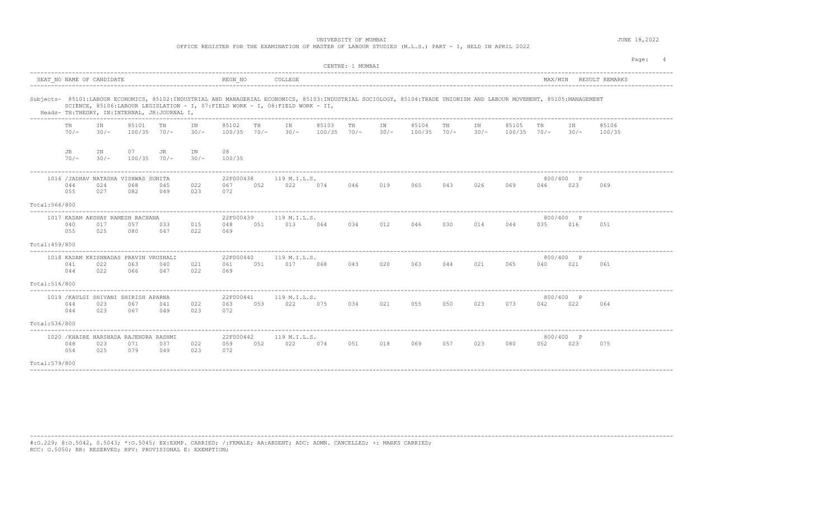OFFICE REGISTER FOR THE EXAMINATION OF MASTER OF LABOUR STUDIES (M.L.S.) PART - I, HELD IN APRIL 2022

|                |              |                           |                                                                                |              |              |                         |              |                                                                                                                                                                                                                                                      |                 | CENTRE: 1 MUMBAI |              |                 |              |              |                 |              |                  |                 | Page: |
|----------------|--------------|---------------------------|--------------------------------------------------------------------------------|--------------|--------------|-------------------------|--------------|------------------------------------------------------------------------------------------------------------------------------------------------------------------------------------------------------------------------------------------------------|-----------------|------------------|--------------|-----------------|--------------|--------------|-----------------|--------------|------------------|-----------------|-------|
|                |              | SEAT NO NAME OF CANDIDATE |                                                                                |              |              | REGN NO                 |              | COLLEGE                                                                                                                                                                                                                                              |                 |                  |              |                 |              |              |                 | MAX/MIN      |                  | RESULT REMARKS  |       |
|                |              |                           | Heads- TH:THEORY, IN:INTERNAL, JR:JOURNAL I,<br>------------------------------ |              |              |                         |              | Subjects- 85101:LABOUR ECONOMICS, 85102:INDUSTRIAL AND MANAGERIAL ECONOMICS, 85103:INDUSTRIAL SOCIOLOGY, 85104:TRADE UNIONISM AND LABOUR MOVEMENT, 85105:MANAGEMENT<br>SCIENCE, 85106:LABOUR LEGISLATION - I, 07:FIELD WORK - I, 08:FIELD WORK - II, |                 |                  |              |                 |              |              |                 |              |                  |                 |       |
|                | TH<br>$70/-$ | IN<br>$30/-$              | 85101<br>100/35                                                                | TH<br>$70/-$ | IN<br>$30/-$ | 85102<br>100/35         | TH<br>$70/-$ | IN<br>$30/-$                                                                                                                                                                                                                                         | 85103<br>100/35 | TH<br>$70/-$     | IN<br>$30/-$ | 85104<br>100/35 | TH<br>$70/-$ | IN<br>$30/-$ | 85105<br>100/35 | TН<br>$70/-$ | IN<br>$30/-$     | 85106<br>100/35 |       |
|                | JR<br>$70/-$ | IN<br>$30/-$              | 07<br>100/35                                                                   | JR<br>$70/-$ | IN<br>$30/-$ | 08<br>100/35            |              |                                                                                                                                                                                                                                                      |                 |                  |              |                 |              |              |                 |              |                  |                 |       |
|                | 044<br>0.5.5 | 024<br>027                | 1016 / JADHAV NATASHA VISHWAS SUNITA<br>068<br>082                             | 045<br>049   | 022<br>023   | 22F000438<br>067<br>072 | 052          | 119 M.I.L.S.<br>022                                                                                                                                                                                                                                  | 074             | 046              | 019          | 065             | 043          | 026          | 069             | 046          | 800/400 P<br>023 | 069             |       |
| Total:566/800  |              |                           |                                                                                |              |              |                         |              |                                                                                                                                                                                                                                                      |                 |                  |              |                 |              |              |                 |              |                  |                 |       |
|                | 040<br>055   | 017<br>025                | 1017 KADAM AKSHAY RAMESH RACHANA<br>057<br>080                                 | 033<br>047   | 015<br>022   | 22F000439<br>048<br>069 | 051          | 119 M.I.L.S.<br>013                                                                                                                                                                                                                                  | 064             | 034              | 012          | 046             | 030          | 014          | 044             | 035          | 800/400 P<br>016 | 051             |       |
| Total: 459/800 |              |                           |                                                                                |              |              |                         |              |                                                                                                                                                                                                                                                      |                 |                  |              |                 |              |              |                 |              |                  |                 |       |
|                | 041<br>044   | 022<br>022                | 1018 KADAM KRISHNADAS PRAVIN VRUSHALI<br>063<br>066                            | 040<br>047   | 021<br>022   | 22F000440<br>061<br>069 | 051          | 119 M.I.L.S.<br>017                                                                                                                                                                                                                                  | 068             | 043              | 020          | 063             | 044          | 021          | 065             | 040          | 800/400 P<br>021 | 061             |       |
| Total:516/800  |              |                           |                                                                                |              |              |                         |              |                                                                                                                                                                                                                                                      |                 |                  |              |                 |              |              |                 |              |                  |                 |       |
|                | 044<br>044   | 023<br>023                | 1019 / KAULGI SHIVANI SHIRISH APARNA<br>067<br>067                             | 041<br>049   | 022<br>023   | 22F000441<br>063<br>072 | 053          | 119 M.I.L.S.<br>022                                                                                                                                                                                                                                  | 075             | 034              | 021          | 055             | 050          | 023          | 073             | 042          | 800/400 P<br>022 | 064             |       |
| Total:536/800  |              |                           |                                                                                |              |              |                         |              |                                                                                                                                                                                                                                                      |                 |                  |              |                 |              |              |                 |              |                  |                 |       |
|                | 048<br>054   | 023<br>025                | 1020 / KHAIRE HARSHADA RAJENDRA RASHMI<br>071<br>079                           | 037<br>049   | 022<br>023   | 22F000442<br>059<br>072 | 052          | 119 M.I.L.S.<br>022                                                                                                                                                                                                                                  | 074             | 051              | 018          | 069             | 057          | 023          | 080             | 052          | 800/400 P<br>023 | 075             |       |
| Total:579/800  |              |                           |                                                                                |              |              |                         |              |                                                                                                                                                                                                                                                      |                 |                  |              |                 |              |              |                 |              |                  |                 |       |

----------------------------------------------------------------------------------------------------------------------------------------------------------------------------------------

----------------------------------------------------------------------------------------------------------------------------------------------------------------------------------------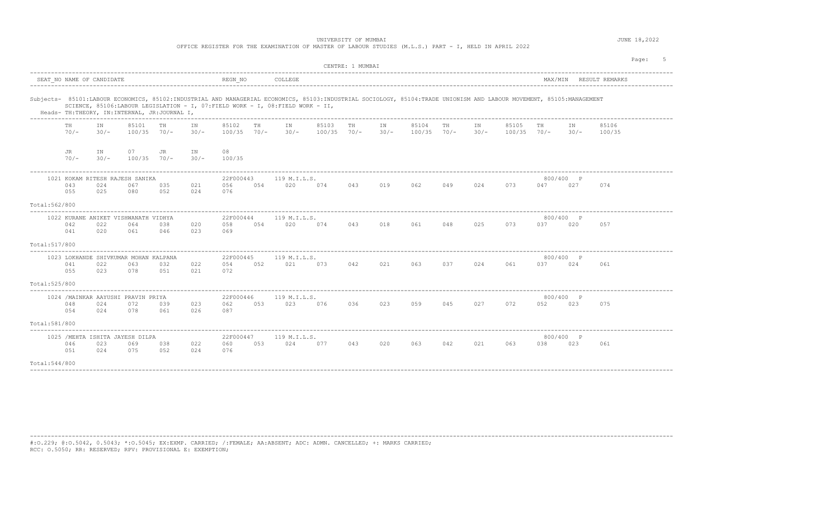OFFICE REGISTER FOR THE EXAMINATION OF MASTER OF LABOUR STUDIES (M.L.S.) PART - I, HELD IN APRIL 2022

|                           |              |              |                                                     |              |              |                         |              |                                                                                                                                                                                                                                                      |                 | CENTRE: 1 MUMBAI |              |                 |              |              |                        |         |                  |                 | Page: |
|---------------------------|--------------|--------------|-----------------------------------------------------|--------------|--------------|-------------------------|--------------|------------------------------------------------------------------------------------------------------------------------------------------------------------------------------------------------------------------------------------------------------|-----------------|------------------|--------------|-----------------|--------------|--------------|------------------------|---------|------------------|-----------------|-------|
| SEAT NO NAME OF CANDIDATE |              |              |                                                     |              |              | REGN NO                 |              | COLLEGE                                                                                                                                                                                                                                              |                 |                  |              |                 |              |              |                        | MAX/MIN |                  | RESULT REMARKS  |       |
|                           |              |              | Heads- TH:THEORY, IN:INTERNAL, JR:JOURNAL I,        |              |              |                         |              | Subjects- 85101:LABOUR ECONOMICS, 85102:INDUSTRIAL AND MANAGERIAL ECONOMICS, 85103:INDUSTRIAL SOCIOLOGY, 85104:TRADE UNIONISM AND LABOUR MOVEMENT, 85105:MANAGEMENT<br>SCIENCE, 85106:LABOUR LEGISLATION - I, 07:FIELD WORK - I, 08:FIELD WORK - II, |                 |                  |              |                 |              |              |                        |         |                  |                 |       |
|                           | TH<br>$70/-$ | ΙN<br>$30/-$ | 85101<br>100/35                                     | TH<br>$70/-$ | IN<br>$30/-$ | 85102<br>100/35         | TH<br>$70/-$ | IN<br>$30/-$                                                                                                                                                                                                                                         | 85103<br>100/35 | TH<br>$70/-$     | IN<br>$30/-$ | 85104<br>100/35 | TH<br>$70/-$ | IN<br>$30/-$ | 85105<br>$100/35$ 70/- | TH      | IN<br>$30/-$     | 85106<br>100/35 |       |
|                           | JR<br>$70/-$ | IN<br>$30/-$ | 07<br>100/35                                        | JR<br>70/    | ΙN<br>$30/-$ | 08<br>100/35            |              |                                                                                                                                                                                                                                                      |                 |                  |              |                 |              |              |                        |         |                  |                 |       |
|                           | 043<br>055   | 024<br>025   | 1021 KOKAM RITESH RAJESH SANIKA<br>067<br>080       | 035<br>052   | 021<br>024   | 22F000443<br>056<br>076 | 054          | 119 M.I.L.S.<br>020                                                                                                                                                                                                                                  | 074             | 043              | 019          | 062             | 049          | 024          | 073                    | 047     | 800/400 P<br>027 | 074             |       |
| Total:562/800             |              |              |                                                     |              |              |                         |              |                                                                                                                                                                                                                                                      |                 |                  |              |                 |              |              |                        |         |                  |                 |       |
|                           | 042<br>041   | 022<br>020   | 1022 KURANE ANIKET VISHWANATH VIDHYA<br>064<br>061  | 038<br>046   | 020<br>023   | 22F000444<br>058<br>069 | 054          | 119 M.I.L.S.<br>020                                                                                                                                                                                                                                  | 074             | 043              | 018          | 061             | 048          | 025          | 073                    | 037     | 800/400 P<br>020 | 057             |       |
| Total: 517/800            |              |              |                                                     |              |              |                         |              |                                                                                                                                                                                                                                                      |                 |                  |              |                 |              |              |                        |         |                  |                 |       |
|                           | 041<br>055   | 022<br>023   | 1023 LOKHANDE SHIVKUMAR MOHAN KALPANA<br>063<br>078 | 032<br>051   | 022<br>021   | 22F000445<br>054<br>072 | 052          | 119 M.I.L.S.<br>021                                                                                                                                                                                                                                  | 073             | 042              | 021          | 063             | 037          | 024          | 061                    | 037     | 800/400 P<br>024 | 061             |       |
| Total:525/800             |              |              |                                                     |              |              |                         |              |                                                                                                                                                                                                                                                      |                 |                  |              |                 |              |              |                        |         |                  |                 |       |
|                           | 048<br>054   | 024<br>024   | 1024 /MAINKAR AAYUSHI PRAVIN PRIYA<br>072<br>078    | 039<br>061   | 023<br>026   | 22F000446<br>062<br>087 | 053          | 119 M.I.L.S.<br>023                                                                                                                                                                                                                                  | 076             | 036              | 023          | 059             | 045          | 027          | 072                    | 052     | 800/400 P<br>023 | 075             |       |
| Total:581/800             |              |              |                                                     |              |              |                         |              |                                                                                                                                                                                                                                                      |                 |                  |              |                 |              |              |                        |         |                  |                 |       |
|                           | 046<br>051   | 023<br>024   | 1025 / MEHTA ISHITA JAYESH DILPA<br>069<br>075      | 038<br>052   | 022<br>024   | 22F000447<br>060<br>076 | 053          | 119 M.I.L.S.<br>024                                                                                                                                                                                                                                  | 077             | 043              | 020          | 063             | 042          | 021          | 063                    | 038     | 800/400 P<br>023 | 061             |       |
| Total:544/800             |              |              |                                                     |              |              |                         |              |                                                                                                                                                                                                                                                      |                 |                  |              |                 |              |              |                        |         |                  |                 |       |

----------------------------------------------------------------------------------------------------------------------------------------------------------------------------------------

----------------------------------------------------------------------------------------------------------------------------------------------------------------------------------------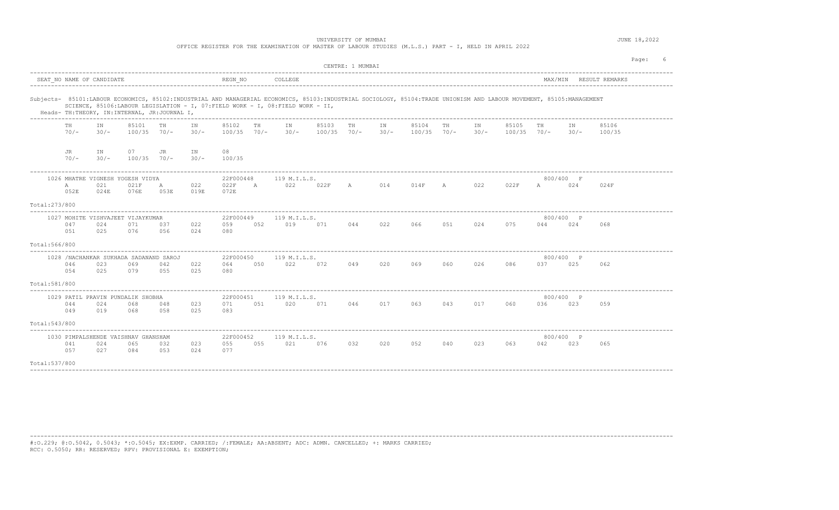OFFICE REGISTER FOR THE EXAMINATION OF MASTER OF LABOUR STUDIES (M.L.S.) PART - I, HELD IN APRIL 2022

|                |              |                           |                                                      |              |              |                           |              |                                                                                                                                                                                                                                                      |                        | CENTRE: 1 MUMBAI |              |                 |              |              |                        |             |                  |                 | Page: |
|----------------|--------------|---------------------------|------------------------------------------------------|--------------|--------------|---------------------------|--------------|------------------------------------------------------------------------------------------------------------------------------------------------------------------------------------------------------------------------------------------------------|------------------------|------------------|--------------|-----------------|--------------|--------------|------------------------|-------------|------------------|-----------------|-------|
|                |              | SEAT NO NAME OF CANDIDATE |                                                      |              |              | REGN NO                   |              | COLLEGE                                                                                                                                                                                                                                              |                        |                  |              |                 |              |              |                        | MAX/MIN     |                  | RESULT REMARKS  |       |
|                |              |                           | Heads- TH:THEORY, IN:INTERNAL, JR:JOURNAL I,         |              |              |                           |              | Subjects- 85101:LABOUR ECONOMICS, 85102:INDUSTRIAL AND MANAGERIAL ECONOMICS, 85103:INDUSTRIAL SOCIOLOGY, 85104:TRADE UNIONISM AND LABOUR MOVEMENT, 85105:MANAGEMENT<br>SCIENCE, 85106:LABOUR LEGISLATION - I, 07:FIELD WORK - I, 08:FIELD WORK - II, |                        |                  |              |                 |              |              |                        |             |                  |                 |       |
|                | TH<br>$70/-$ | IN<br>$30/-$              | 85101<br>100/35                                      | TH<br>$70/-$ | ΙN<br>$30/-$ | 85102<br>$100/35$ $70/-$  | TH           | IN<br>$30/-$                                                                                                                                                                                                                                         | 85103<br>$100/35$ 70/- | TH               | IN<br>$30/-$ | 85104<br>100/35 | TH<br>$70/-$ | IN<br>$30/-$ | 85105<br>$100/35$ 70/- | TH          | IN<br>$30/-$     | 85106<br>100/35 |       |
|                | JR<br>$70/-$ | IN<br>$30/-$              | 07<br>100/35                                         | JR<br>$70/-$ | ΙN<br>$30/-$ | 08<br>100/35              |              |                                                                                                                                                                                                                                                      |                        |                  |              |                 |              |              |                        |             |                  |                 |       |
|                | Α<br>052E    | 021<br>024E               | 1026 MHATRE VIGNESH YOGESH VIDYA<br>021F<br>076E     | А<br>053E    | 022<br>019E  | 22F000448<br>022F<br>072E | $\mathbb{A}$ | 119 M.I.L.S.<br>022                                                                                                                                                                                                                                  | 022F                   | $\mathbb{A}$     | 014          | 014F            | $\mathbb{A}$ | 022          | 022F                   | $\mathbb A$ | 800/400 F<br>024 | 024F            |       |
| Total: 273/800 |              |                           |                                                      |              |              |                           |              |                                                                                                                                                                                                                                                      |                        |                  |              |                 |              |              |                        |             |                  |                 |       |
|                | 047<br>051   | 024<br>025                | 1027 MOHITE VISHVAJEET VIJAYKUMAR<br>071<br>076      | 037<br>056   | 022<br>024   | 22F000449<br>059<br>080   | 052          | 119 M.I.L.S.<br>019                                                                                                                                                                                                                                  | 071                    | 044              | 022          | 066             | 051          | 024          | 075                    | 044         | 800/400 P<br>024 | 068             |       |
| Total:566/800  |              |                           |                                                      |              |              |                           |              |                                                                                                                                                                                                                                                      |                        |                  |              |                 |              |              |                        |             |                  |                 |       |
|                | 046<br>054   | 023<br>025                | 1028 /NACHANKAR SUKHADA SADANAND SAROJ<br>069<br>079 | 042<br>055   | 022<br>025   | 22F000450<br>064<br>080   | 050          | 119 M.I.L.S.<br>022                                                                                                                                                                                                                                  | 072                    | 049              | 020          | 069             | 060          | 026          | 086                    | 037         | 800/400 P<br>025 | 062             |       |
| Total:581/800  |              |                           |                                                      |              |              |                           |              |                                                                                                                                                                                                                                                      |                        |                  |              |                 |              |              |                        |             |                  |                 |       |
|                | 044<br>049   | 024<br>019                | 1029 PATIL PRAVIN PUNDALIK SHOBHA<br>068<br>068      | 048<br>058   | 023<br>025   | 22F000451<br>071<br>083   | 051          | 119 M.I.L.S.<br>020                                                                                                                                                                                                                                  | 071                    | 046              | 017          | 063             | 043          | 017          | 060                    | 036         | 800/400 P<br>023 | 059             |       |
| Total: 543/800 |              |                           |                                                      |              |              |                           |              |                                                                                                                                                                                                                                                      |                        |                  |              |                 |              |              |                        |             |                  |                 |       |
| Total:537/800  | 041<br>057   | 024<br>027                | 1030 PIMPALSHENDE VAISHNAV GHANSHAM<br>065<br>084    | 032<br>053   | 023<br>024   | 22F000452<br>055<br>077   | 055          | 119 M.I.L.S.<br>021                                                                                                                                                                                                                                  | 076                    | 032              | 020          | 052             | 040          | 023          | 063                    | 042         | 800/400 P<br>023 | 065             |       |

----------------------------------------------------------------------------------------------------------------------------------------------------------------------------------------

----------------------------------------------------------------------------------------------------------------------------------------------------------------------------------------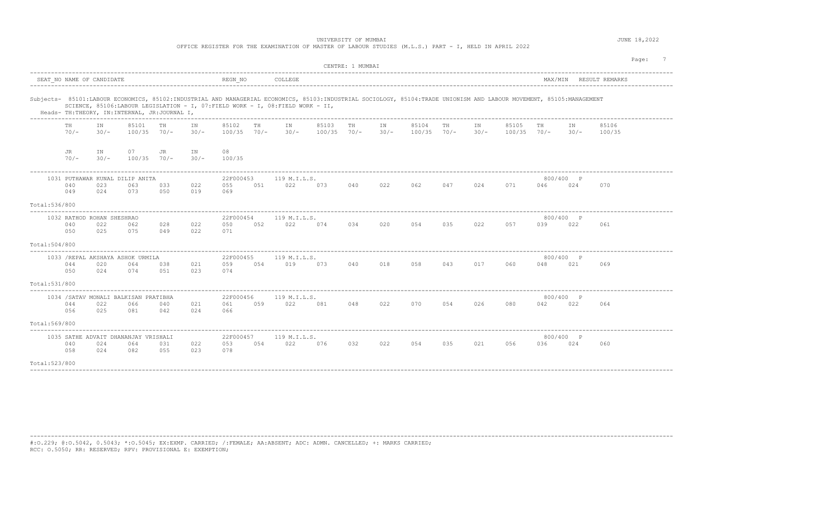UNIVERSITY OF MUMBAI **Alternative Contract Contract Contract Contract Contract Contract Contract Contract Contract Contract Contract Contract Contract Contract Contract Contract Contract Contract Contract Contract Contract** 

OFFICE REGISTER FOR THE EXAMINATION OF MASTER OF LABOUR STUDIES (M.L.S.) PART - I, HELD IN APRIL 2022

|               |              |                                          |                                                     |            |              |                          |                                  |                                                                                                                                                                                                                                                      |                        | CENTRE: 1 MUMBAI |              |                 |               |              |                          |     |                  |                        | Page: |
|---------------|--------------|------------------------------------------|-----------------------------------------------------|------------|--------------|--------------------------|----------------------------------|------------------------------------------------------------------------------------------------------------------------------------------------------------------------------------------------------------------------------------------------------|------------------------|------------------|--------------|-----------------|---------------|--------------|--------------------------|-----|------------------|------------------------|-------|
|               |              | SEAT NO NAME OF CANDIDATE                |                                                     |            |              | REGN NO                  |                                  | COLLEGE                                                                                                                                                                                                                                              |                        |                  |              |                 |               |              |                          |     |                  | MAX/MIN RESULT REMARKS |       |
|               |              |                                          | Heads- TH:THEORY, IN:INTERNAL, JR:JOURNAL I,        |            |              |                          |                                  | Subjects- 85101:LABOUR ECONOMICS, 85102:INDUSTRIAL AND MANAGERIAL ECONOMICS, 85103:INDUSTRIAL SOCIOLOGY, 85104:TRADE UNIONISM AND LABOUR MOVEMENT, 85105:MANAGEMENT<br>SCIENCE, 85106:LABOUR LEGISLATION - I, 07:FIELD WORK - I, 08:FIELD WORK - II, |                        |                  |              |                 |               |              |                          |     |                  |                        |       |
|               | TH<br>$70/-$ | IN<br>$30/-$                             | 85101<br>$100/35$ $70/-$                            | TH         | IN<br>$30/-$ | 85102<br>$100/35$ $70/-$ | TH                               | IN<br>$30/-$                                                                                                                                                                                                                                         | 85103<br>$100/35$ 70/- | TH               | IN<br>$30/-$ | 85104<br>100/35 | TH.<br>$70/-$ | IN<br>$30/-$ | 85105<br>$100/35$ $70/-$ | TH. | IN<br>$30/-$     | 85106<br>100/35        |       |
|               | JR<br>$70/-$ | ΙN<br>$30/-$                             | 07<br>$100/35$ $70/-$                               | JR         | IN<br>$30/-$ | 08<br>100/35             |                                  |                                                                                                                                                                                                                                                      |                        |                  |              |                 |               |              |                          |     |                  |                        |       |
|               | 040<br>049   | 023<br>024                               | 1031 PUTHAWAR KUNAL DILIP ANITA<br>063<br>073       | 033<br>050 | 022<br>019   | 22F000453<br>055<br>069  | 051                              | 119 M.I.L.S.<br>022                                                                                                                                                                                                                                  | 073                    | 040              | 022          | 062             | 047           | 024          | 071                      | 046 | 800/400 P<br>024 | 070                    |       |
| Total:536/800 |              |                                          |                                                     |            |              |                          |                                  |                                                                                                                                                                                                                                                      |                        |                  |              |                 |               |              |                          |     |                  |                        |       |
|               | 040<br>050   | 1032 RATHOD ROHAN SHESHRAO<br>022<br>025 | 062<br>075                                          | 028<br>049 | 022<br>022   | 22F000454<br>050<br>071  | 052                              | 119 M.I.L.S.<br>022                                                                                                                                                                                                                                  | 074                    | 034              | 020          | 054             | 035           | 022          | 057                      | 039 | 800/400 P<br>022 | 061                    |       |
| Total:504/800 |              |                                          |                                                     |            |              |                          |                                  |                                                                                                                                                                                                                                                      |                        |                  |              |                 |               |              |                          |     |                  |                        |       |
| Total:531/800 | 044<br>050   | 020<br>024                               | 1033 /REPAL AKSHAYA ASHOK URMILA<br>064<br>074      | 038<br>051 | 021<br>023   | 22F000455<br>059<br>074  | 054                              | 119 M.I.L.S.<br>019                                                                                                                                                                                                                                  | 073                    | 040              | 018          | 058             | 043           | 017          | 060                      | 048 | 800/400 P<br>021 | 069                    |       |
| Total:569/800 | 044<br>056   | 022<br>025                               | 1034 / SATAV MONALI BALKISAN PRATIBHA<br>066<br>081 | 040<br>042 | 021<br>024   | 22F000456<br>061<br>066  | . _ _ _ _ _ _ _ _ _ _ _ _<br>059 | 119 M.I.L.S.<br>022                                                                                                                                                                                                                                  | 081                    | 048              | 022          | 070             | 054           | 026          | 080                      | 042 | 800/400 P<br>022 | 064                    |       |
| Total:523/800 | 040<br>058   | 024<br>024                               | 1035 SATHE ADVAIT DHANANJAY VRISHALI<br>064<br>082  | 031<br>055 | 022<br>023   | 22F000457<br>053<br>078  | 054                              | 119 M.I.L.S.<br>022                                                                                                                                                                                                                                  | 076                    | 032              | 022          | 054             | 035           | 021          | 056                      | 036 | 800/400 P<br>024 | 060                    |       |

----------------------------------------------------------------------------------------------------------------------------------------------------------------------------------------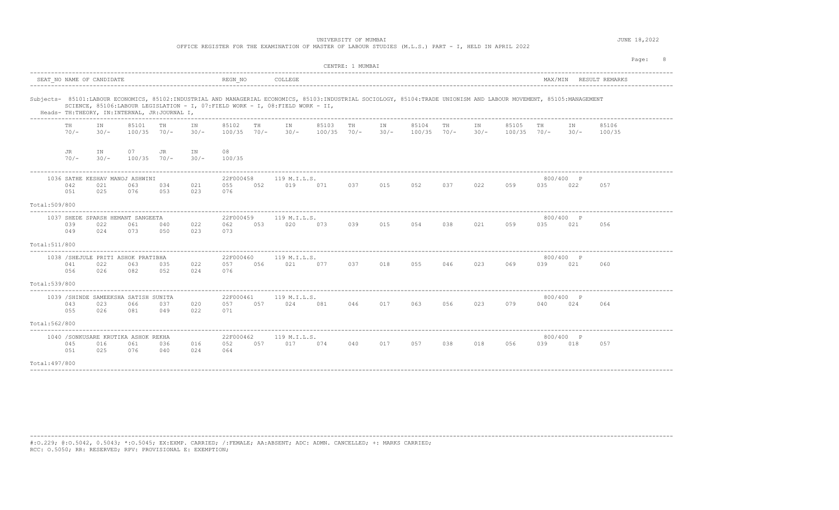OFFICE REGISTER FOR THE EXAMINATION OF MASTER OF LABOUR STUDIES (M.L.S.) PART - I, HELD IN APRIL 2022

|                                                                                                                                                                                                                                                                                                                                        |                                                 |                                 | CENTRE: 1 MUMBAI             |                                 |                                 |                                                 | Page: |
|----------------------------------------------------------------------------------------------------------------------------------------------------------------------------------------------------------------------------------------------------------------------------------------------------------------------------------------|-------------------------------------------------|---------------------------------|------------------------------|---------------------------------|---------------------------------|-------------------------------------------------|-------|
| SEAT NO NAME OF CANDIDATE                                                                                                                                                                                                                                                                                                              | REGN NO                                         | COLLEGE                         |                              |                                 |                                 | MAX/MIN<br>RESULT REMARKS                       |       |
| Subjects- 85101:LABOUR ECONOMICS, 85102:INDUSTRIAL AND MANAGERIAL ECONOMICS, 85103:INDUSTRIAL SOCIOLOGY, 85104:TRADE UNIONISM AND LABOUR MOVEMENT, 85105:MANAGEMENT<br>SCIENCE, 85106:LABOUR LEGISLATION - I, 07:FIELD WORK - I, 08:FIELD WORK - II,<br>Heads- TH:THEORY, IN:INTERNAL, JR:JOURNAL I,<br>------------------------------ |                                                 |                                 |                              |                                 |                                 |                                                 |       |
| 85101<br>TH<br>IN<br>TH<br>$70/-$<br>$30/-$<br>100/35<br>$70/-$                                                                                                                                                                                                                                                                        | IN<br>85102<br>TH<br>$30/-$<br>100/35<br>$70/-$ | 85103<br>IN<br>$30/-$<br>100/35 | TH<br>IN<br>$70/-$<br>$30/-$ | 85104<br>TH<br>100/35<br>$70/-$ | IN<br>85105<br>$30/-$<br>100/35 | TН<br>IN<br>85106<br>$70/-$<br>$30/-$<br>100/35 |       |
| 07<br>JR<br>IN<br>JR<br>$70/-$<br>$30/-$<br>100/35<br>70/                                                                                                                                                                                                                                                                              | 08<br>IN<br>$30/-$<br>100/35                    |                                 |                              |                                 |                                 |                                                 |       |
| 1036 SATHE KESHAV MANOJ ASHWINI<br>042<br>021<br>063<br>034<br>0.51<br>025<br>076<br>0.5.3                                                                                                                                                                                                                                             | 22F000458<br>052<br>021<br>055<br>023<br>076    | 119 M.I.L.S.<br>019<br>071      | 015<br>037                   | 052<br>037                      | 022<br>059                      | 800/400 P<br>035<br>022<br>057                  |       |
| Total:509/800                                                                                                                                                                                                                                                                                                                          |                                                 |                                 |                              |                                 |                                 |                                                 |       |
| 1037 SHEDE SPARSH HEMANT SANGEETA<br>039<br>022<br>061<br>040<br>049<br>024<br>073<br>0.50                                                                                                                                                                                                                                             | 22F000459<br>053<br>022<br>062<br>023<br>073    | 119 M.I.L.S.<br>020<br>073      | 015<br>039                   | 054<br>038                      | 021<br>059                      | 800/400 P<br>035<br>021<br>056                  |       |
| Total:511/800                                                                                                                                                                                                                                                                                                                          |                                                 |                                 |                              |                                 |                                 |                                                 |       |
| 1038 / SHEJULE PRITI ASHOK PRATIBHA<br>022<br>041<br>063<br>035<br>056<br>026<br>082<br>052                                                                                                                                                                                                                                            | 22F000460<br>022<br>057<br>056<br>024<br>076    | 119 M.I.L.S.<br>021<br>077      | 037<br>018                   | 055<br>046                      | 023<br>069                      | 800/400 P<br>060<br>039<br>021                  |       |
| Total:539/800                                                                                                                                                                                                                                                                                                                          |                                                 |                                 |                              |                                 |                                 |                                                 |       |
| 1039 / SHINDE SAMEEKSHA SATISH SUNITA<br>043<br>066<br>023<br>037<br>055<br>026<br>081<br>049                                                                                                                                                                                                                                          | 22F000461<br>057<br>020<br>057<br>022<br>071    | 119 M.I.L.S.<br>024<br>081      | 017<br>046                   | 063<br>056                      | 023<br>079                      | 800/400 P<br>040<br>024<br>064                  |       |
| Total:562/800                                                                                                                                                                                                                                                                                                                          |                                                 |                                 |                              |                                 |                                 |                                                 |       |
| 1040 / SONKUSARE KRUTIKA ASHOK REKHA<br>045<br>016<br>061<br>036<br>051<br>025<br>076<br>040<br>Total: 497/800                                                                                                                                                                                                                         | 22F000462<br>057<br>016<br>052<br>024<br>064    | 119 M.I.L.S.<br>017<br>074      | 017<br>040                   | 057<br>038                      | 018<br>056                      | 800/400 P<br>039<br>018<br>057                  |       |

----------------------------------------------------------------------------------------------------------------------------------------------------------------------------------------

----------------------------------------------------------------------------------------------------------------------------------------------------------------------------------------